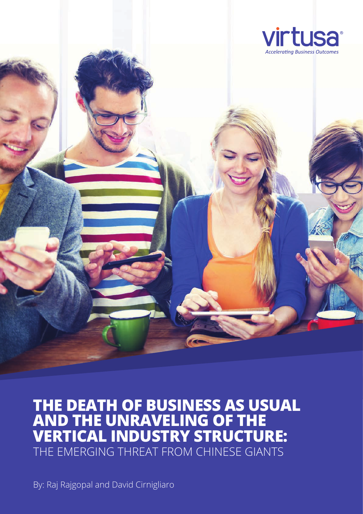



**THE DEATH OF BUSINESS AS USUAL AND THE UNRAVELING OF THE VERTICAL INDUSTRY STRUCTURE:** THE EMERGING THREAT FROM CHINESE GIANTS

By: Raj Rajgopal and David Cirnigliaro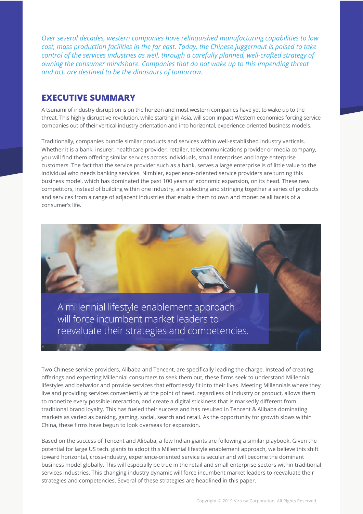*Over several decades, western companies have relinquished manufacturing capabilities to low cost, mass production facilities in the far east. Today, the Chinese juggernaut is poised to take control of the services industries as well, through a carefully planned, well-crafted strategy of owning the consumer mindshare. Companies that do not wake up to this impending threat and act, are destined to be the dinosaurs of tomorrow.*

## **EXECUTIVE SUMMARY**

A tsunami of industry disruption is on the horizon and most western companies have yet to wake up to the threat. This highly disruptive revolution, while starting in Asia, will soon impact Western economies forcing service companies out of their vertical industry orientation and into horizontal, experience-oriented business models.

Traditionally, companies bundle similar products and services within well-established industry verticals. Whether it is a bank, insurer, healthcare provider, retailer, telecommunications provider or media company, you will find them offering similar services across individuals, small enterprises and large enterprise customers. The fact that the service provider such as a bank, serves a large enterprise is of little value to the individual who needs banking services. Nimbler, experience-oriented service providers are turning this business model, which has dominated the past 100 years of economic expansion, on its head. These new competitors, instead of building within one industry, are selecting and stringing together a series of products and services from a range of adjacent industries that enable them to own and monetize all facets of a consumer's life.



Two Chinese service providers, Alibaba and Tencent, are specifically leading the charge. Instead of creating offerings and expecting Millennial consumers to seek them out, these firms seek to understand Millennial lifestyles and behavior and provide services that effortlessly fit into their lives. Meeting Millennials where they live and providing services conveniently at the point of need, regardless of industry or product, allows them to monetize every possible interaction, and create a digital stickiness that is markedly different from traditional brand loyalty. This has fueled their success and has resulted in Tencent & Alibaba dominating markets as varied as banking, gaming, social, search and retail. As the opportunity for growth slows within China, these firms have begun to look overseas for expansion.

Based on the success of Tencent and Alibaba, a few Indian giants are following a similar playbook. Given the potential for large US tech. giants to adopt this Millennial lifestyle enablement approach, we believe this shift toward horizontal, cross-industry, experience-oriented service is secular and will become the dominant business model globally. This will especially be true in the retail and small enterprise sectors within traditional services industries. This changing industry dynamic will force incumbent market leaders to reevaluate their strategies and competencies. Several of these strategies are headlined in this paper.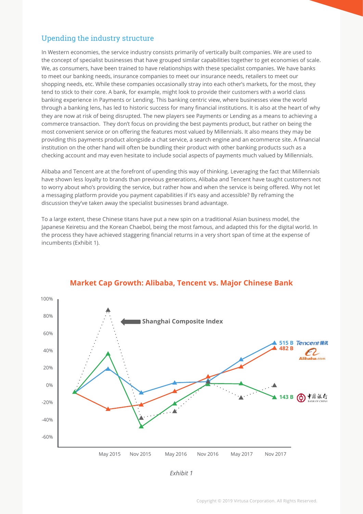## Upending the industry structure

In Western economies, the service industry consists primarily of vertically built companies. We are used to the concept of specialist businesses that have grouped similar capabilities together to get economies of scale. We, as consumers, have been trained to have relationships with these specialist companies. We have banks to meet our banking needs, insurance companies to meet our insurance needs, retailers to meet our shopping needs, etc. While these companies occasionally stray into each other's markets, for the most, they tend to stick to their core. A bank, for example, might look to provide their customers with a world class banking experience in Payments or Lending. This banking centric view, where businesses view the world through a banking lens, has led to historic success for many financial institutions. It is also at the heart of why they are now at risk of being disrupted. The new players see Payments or Lending as a means to achieving a commerce transaction. They don't focus on providing the best payments product, but rather on being the most convenient service or on offering the features most valued by Millennials. It also means they may be providing this payments product alongside a chat service, a search engine and an ecommerce site. A financial institution on the other hand will often be bundling their product with other banking products such as a checking account and may even hesitate to include social aspects of payments much valued by Millennials.

Alibaba and Tencent are at the forefront of upending this way of thinking. Leveraging the fact that Millennials have shown less loyalty to brands than previous generations, Alibaba and Tencent have taught customers not to worry about who's providing the service, but rather how and when the service is being offered. Why not let a messaging platform provide you payment capabilities if it's easy and accessible? By reframing the discussion they've taken away the specialist businesses brand advantage.

To a large extent, these Chinese titans have put a new spin on a traditional Asian business model, the Japanese Keiretsu and the Korean Chaebol, being the most famous, and adapted this for the digital world. In the process they have achieved staggering financial returns in a very short span of time at the expense of incumbents (Exhibit 1).



#### **Market Cap Growth: Alibaba, Tencent vs. Major Chinese Bank**

*Exhibit 1*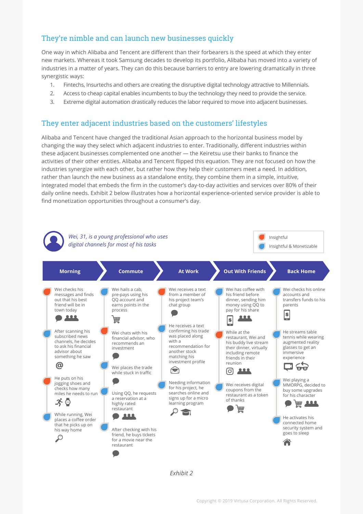# They're nimble and can launch new businesses quickly

One way in which Alibaba and Tencent are different than their forbearers is the speed at which they enter new markets. Whereas it took Samsung decades to develop its portfolio, Alibaba has moved into a variety of industries in a matter of years. They can do this because barriers to entry are lowering dramatically in three synergistic ways:

- 1. Fintechs, Insurtechs and others are creating the disruptive digital technology attractive to Millennials.
- 2. Access to cheap capital enables incumbents to buy the technology they need to provide the service.
- 3. Extreme digital automation drastically reduces the labor required to move into adjacent businesses.

#### They enter adjacent industries based on the customers' lifestyles

Alibaba and Tencent have changed the traditional Asian approach to the horizontal business model by changing the way they select which adjacent industries to enter. Traditionally, different industries within these adjacent businesses complemented one another — the Keiretsu use their banks to finance the activities of their other entities. Alibaba and Tencent flipped this equation. They are not focused on how the industries synergize with each other, but rather how they help their customers meet a need. In addition, rather than launch the new business as a standalone entity, they combine them in a simple, intuitive, integrated model that embeds the firm in the customer's day-to-day activities and services over 80% of their daily online needs. Exhibit 2 below illustrates how a horizontal experience-oriented service provider is able to find monetization opportunities throughout a consumer's day.



*Exhibit 2*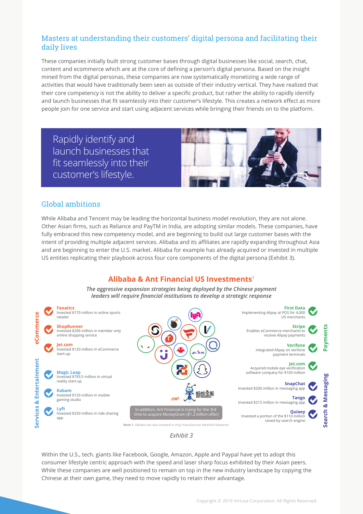## Masters at understanding their customers' digital persona and facilitating their daily lives

These companies initially built strong customer bases through digital businesses like social, search, chat, content and ecommerce which are at the core of defining a person's digital persona. Based on the insight mined from the digital personas, these companies are now systematically monetizing a wide range of activities that would have traditionally been seen as outside of their industry vertical. They have realized that their core competency is not the ability to deliver a specific product, but rather the ability to rapidly identify and launch businesses that fit seamlessly into their customer's lifestyle. This creates a network effect as more people join for one service and start using adjacent services while bringing their friends on to the platform.

Rapidly identify and launch businesses that fit seamlessly into their customer's lifestyle.



## Global ambitions

While Alibaba and Tencent may be leading the horizontal business model revolution, they are not alone. Other Asian firms, such as Reliance and PayTM in India, are adopting similar models. These companies, have fully embraced this new competency model, and are beginning to build out large customer bases with the intent of providing multiple adjacent services. Alibaba and its affiliates are rapidly expanding throughout Asia and are beginning to enter the U.S. market. Alibaba for example has already acquired or invested in multiple US entities replicating their playbook across four core components of the digital persona (Exhibit 3).

## **Alibaba & Ant Financial US Investments**<sup>1</sup>

*The aggressive expansion strategies being deployed by the Chinese payment leaders will require financial institutions to develop a strategic response*





Within the U.S., tech. giants like Facebook, Google, Amazon, Apple and Paypal have yet to adopt this consumer lifestyle centric approach with the speed and laser sharp focus exhibited by their Asian peers. While these companies are well positioned to remain on top in the new industry landscape by copying the Chinese at their own game, they need to move rapidly to retain their advantage.